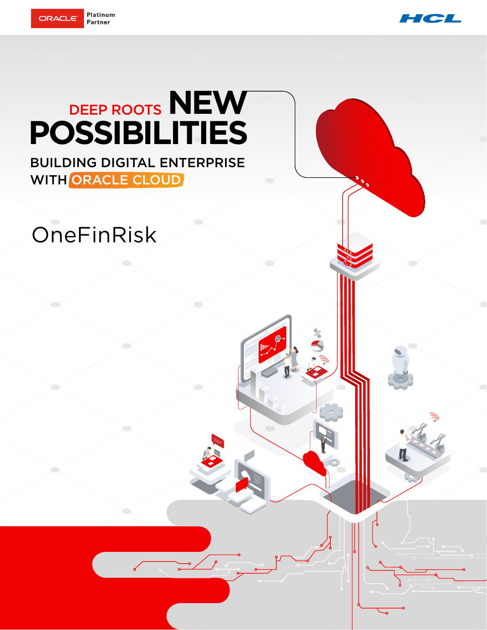



# DEEP ROOTS **NEW POSSIBILITIES**

BUILDING DIGITAL ENTERPRISE WITH ORACLE CLOUD

## OneFinRisk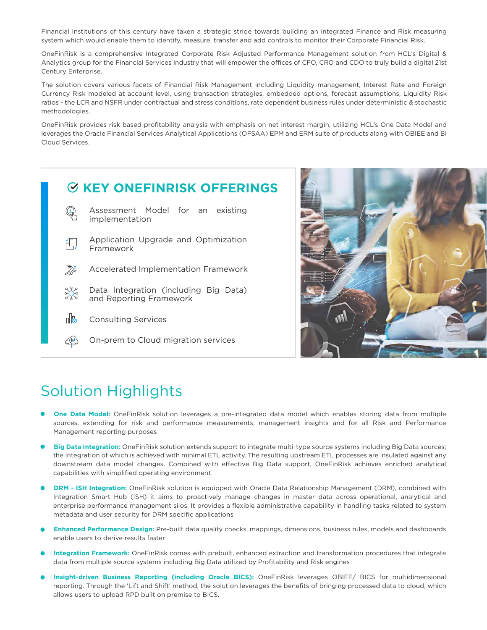Financial Institutions of this century have taken a strategic stride towards building an integrated Finance and Risk measuring system which would enable them to identify, measure, transfer and add controls to monitor their Corporate Financial Risk.

OneFinRisk is a comprehensive Integrated Corporate Risk Adjusted Performance Management solution from HCL's Digital & Analytics group for the Financial Services Industry that will empower the offices of CFO, CRO and CDO to truly build a digital 21st Century Enterprise.

The solution covers various facets of Financial Risk Management including Liquidity management, Interest Rate and Foreign Currency Risk modeled at account level, using transaction strategies, embedded options, forecast assumptions, Liquidity Risk ratios - the LCR and NSFR under contractual and stress conditions, rate dependent business rules under deterministic & stochastic methodologies.

OneFinRisk provides risk based profitability analysis with emphasis on net interest margin, utilizing HCL's One Data Model and leverages the Oracle Financial Services Analytical Applications (OFSAA) EPM and ERM suite of products along with OBIEE and BI Cloud Services.





## Solution Highlights

- **One Data Model:** OneFinRisk solution leverages a pre-integrated data model which enables storing data from multiple sources, extending for risk and performance measurements, management insights and for all Risk and Performance Management reporting purposes
- **Big Data Integration:** OneFinRisk solution extends support to integrate multi-type source systems including Big Data sources; the Integration of which is achieved with minimal ETL activity. The resulting upstream ETL processes are insulated against any downstream data model changes. Combined with effective Big Data support, OneFinRisk achieves enriched analytical capabilities with simplified operating environment
- **DRM ISH Integration:** OneFinRisk solution is equipped with Oracle Data Relationship Management (DRM), combined with Integration Smart Hub (ISH) it aims to proactively manage changes in master data across operational, analytical and enterprise performance management silos. It provides a flexible administrative capability in handling tasks related to system metadata and user security for DRM specific applications
- **Enhanced Performance Design:** Pre-built data quality checks, mappings, dimensions, business rules, models and dashboards enable users to derive results faster
- **Integration Framework:** OneFinRisk comes with prebuilt, enhanced extraction and transformation procedures that integrate data from multiple source systems including Big Data utilized by Profitability and Risk engines
- **Insight-driven Business Reporting (including Oracle BICS):** OneFinRisk leverages OBIEE/ BICS for multidimensional reporting. Through the 'Lift and Shift' method, the solution leverages the benefits of bringing processed data to cloud, which allows users to upload RPD built on premise to BICS.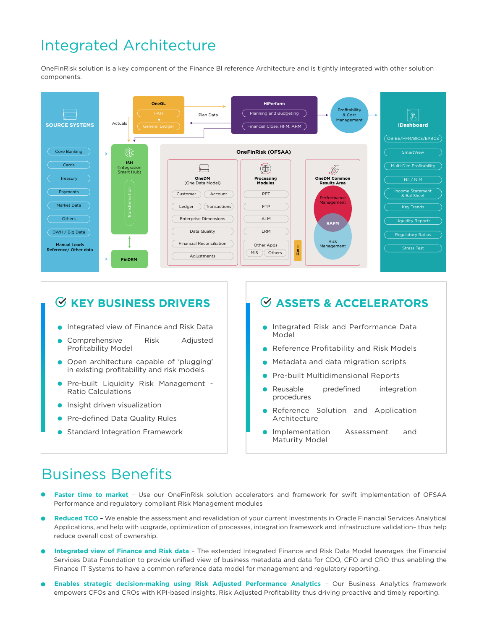## Integrated Architecture

OneFinRisk solution is a key component of the Finance BI reference Architecture and is tightly integrated with other solution components.



#### **KEY BUSINESS DRIVERS**

- **Integrated view of Finance and Risk Data**
- Comprehensive Risk Adjusted Profitability Model
- Open architecture capable of 'plugging' in existing profitability and risk models
- Pre-built Liquidity Risk Management Ratio Calculations
- **Insight driven visualization**
- Pre-defined Data Quality Rules
- **Standard Integration Framework**

#### **ASSETS & ACCELERATORS**

- **Integrated Risk and Performance Data** Model
- Reference Profitability and Risk Models
- Metadata and data migration scripts
- Pre-built Multidimensional Reports
- Reusable predefined integration procedures
- Reference Solution and Application Architecture
- Implementation Assessment and  $\bullet$ Maturity Model

### Business Benefits

- **Faster time to market** Use our OneFinRisk solution accelerators and framework for swift implementation of OFSAA Performance and regulatory compliant Risk Management modules
- **Reduced TCO** We enable the assessment and revalidation of your current investments in Oracle Financial Services Analytical Applications, and help with upgrade, optimization of processes, integration framework and infrastructure validation-thus help reduce overall cost of ownership.
- **Integrated view of Finance and Risk data** The extended Integrated Finance and Risk Data Model leverages the Financial Services Data Foundation to provide unified view of business metadata and data for CDO, CFO and CRO thus enabling the Finance IT Systems to have a common reference data model for management and regulatory reporting.
- **Enables strategic decision-making using Risk Adjusted Performance Analytics** Our Business Analytics framework empowers CFOs and CROs with KPI-based insights, Risk Adjusted Profitability thus driving proactive and timely reporting.